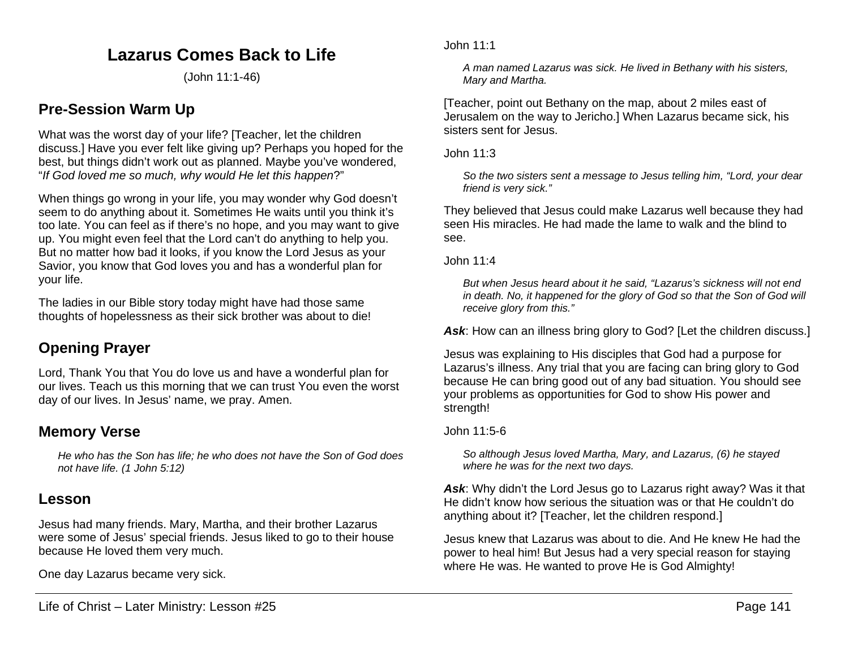# **Lazarus Comes Back to Life**

(John 11:1-46)

# **Pre-Session Warm Up**

What was the worst day of your life? [Teacher, let the children discuss.] Have you ever felt like giving up? Perhaps you hoped for the best, but things didn't work out as planned. Maybe you've wondered, "*If God loved me so much, why would He let this happen*?"

When things go wrong in your life, you may wonder why God doesn't seem to do anything about it. Sometimes He waits until you think it's too late. You can feel as if there's no hope, and you may want to give up. You might even feel that the Lord can't do anything to help you. But no matter how bad it looks, if you know the Lord Jesus as your Savior, you know that God loves you and has a wonderful plan for your life.

The ladies in our Bible story today might have had those same thoughts of hopelessness as their sick brother was about to die!

# **Opening Prayer**

Lord, Thank You that You do love us and have a wonderful plan for our lives. Teach us this morning that we can trust You even the worst day of our lives. In Jesus' name, we pray. Amen.

## **Memory Verse**

*He who has the Son has life; he who does not have the Son of God does not have life. (1 John 5:12)*

## **Lesson**

Jesus had many friends. Mary, Martha, and their brother Lazarus were some of Jesus' special friends. Jesus liked to go to their house because He loved them very much.

One day Lazarus became very sick.

John 11:1

*A man named Lazarus was sick. He lived in Bethany with his sisters, Mary and Martha.*

[Teacher, point out Bethany on the map, about 2 miles east of Jerusalem on the way to Jericho.] When Lazarus became sick, his sisters sent for Jesus.

John 11:3

*So the two sisters sent a message to Jesus telling him, "Lord, your dear friend is very sick."*

They believed that Jesus could make Lazarus well because they had seen His miracles. He had made the lame to walk and the blind to see.

John 11:4

*But when Jesus heard about it he said, "Lazarus's sickness will not end in death. No, it happened for the glory of God so that the Son of God will receive glory from this."*

Ask: How can an illness bring glory to God? [Let the children discuss.]

Jesus was explaining to His disciples that God had a purpose for Lazarus's illness. Any trial that you are facing can bring glory to God because He can bring good out of any bad situation. You should see your problems as opportunities for God to show His power and strength!

John 11:5-6

*So although Jesus loved Martha, Mary, and Lazarus, (6) he stayed where he was for the next two days.*

*Ask*: Why didn't the Lord Jesus go to Lazarus right away? Was it that He didn't know how serious the situation was or that He couldn't do anything about it? [Teacher, let the children respond.]

Jesus knew that Lazarus was about to die. And He knew He had the power to heal him! But Jesus had a very special reason for staying where He was. He wanted to prove He is God Almighty!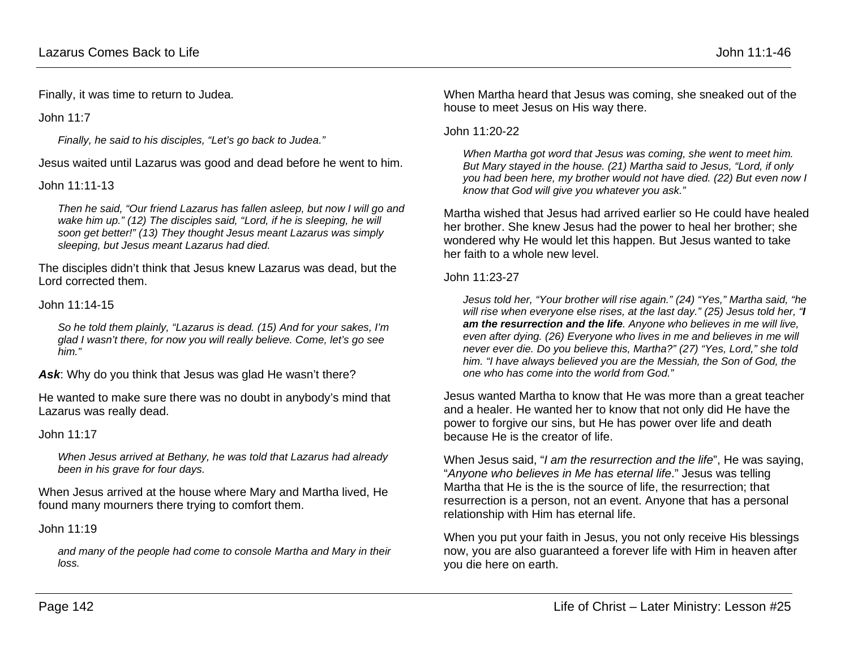Finally, it was time to return to Judea.

John 11:7

*Finally, he said to his disciples, "Let's go back to Judea."* 

Jesus waited until Lazarus was good and dead before he went to him.

John 11:11-13

*Then he said, "Our friend Lazarus has fallen asleep, but now I will go and wake him up." (12) The disciples said, "Lord, if he is sleeping, he will soon get better!" (13) They thought Jesus meant Lazarus was simply sleeping, but Jesus meant Lazarus had died.*

The disciples didn't think that Jesus knew Lazarus was dead, but the Lord corrected them.

John 11:14-15

*So he told them plainly, "Lazarus is dead. (15) And for your sakes, I'm glad I wasn't there, for now you will really believe. Come, let's go see him."*

Ask: Why do you think that Jesus was glad He wasn't there?

He wanted to make sure there was no doubt in anybody's mind that Lazarus was really dead.

John 11:17

*When Jesus arrived at Bethany, he was told that Lazarus had already been in his grave for four days.* 

When Jesus arrived at the house where Mary and Martha lived, He found many mourners there trying to comfort them.

John 11:19

*and many of the people had come to console Martha and Mary in their loss.* 

When Martha heard that Jesus was coming, she sneaked out of the house to meet Jesus on His way there.

### John 11:20-22

*When Martha got word that Jesus was coming, she went to meet him. But Mary stayed in the house. (21) Martha said to Jesus, "Lord, if only you had been here, my brother would not have died. (22) But even now I know that God will give you whatever you ask."*

Martha wished that Jesus had arrived earlier so He could have healed her brother. She knew Jesus had the power to heal her brother; she wondered why He would let this happen. But Jesus wanted to take her faith to a whole new level.

John 11:23-27

*Jesus told her, "Your brother will rise again." (24) "Yes," Martha said, "he will rise when everyone else rises, at the last day." (25) Jesus told her, "I am the resurrection and the life. Anyone who believes in me will live, even after dying. (26) Everyone who lives in me and believes in me will never ever die. Do you believe this, Martha?" (27) "Yes, Lord," she told him. "I have always believed you are the Messiah, the Son of God, the one who has come into the world from God."*

Jesus wanted Martha to know that He was more than a great teacher and a healer. He wanted her to know that not only did He have the power to forgive our sins, but He has power over life and death because He is the creator of life.

When Jesus said, "*I am the resurrection and the life*", He was saying, "*Anyone who believes in Me has eternal life*." Jesus was telling Martha that He is the is the source of life, the resurrection; that resurrection is a person, not an event. Anyone that has a personal relationship with Him has eternal life.

When you put your faith in Jesus, you not only receive His blessings now, you are also guaranteed a forever life with Him in heaven after you die here on earth.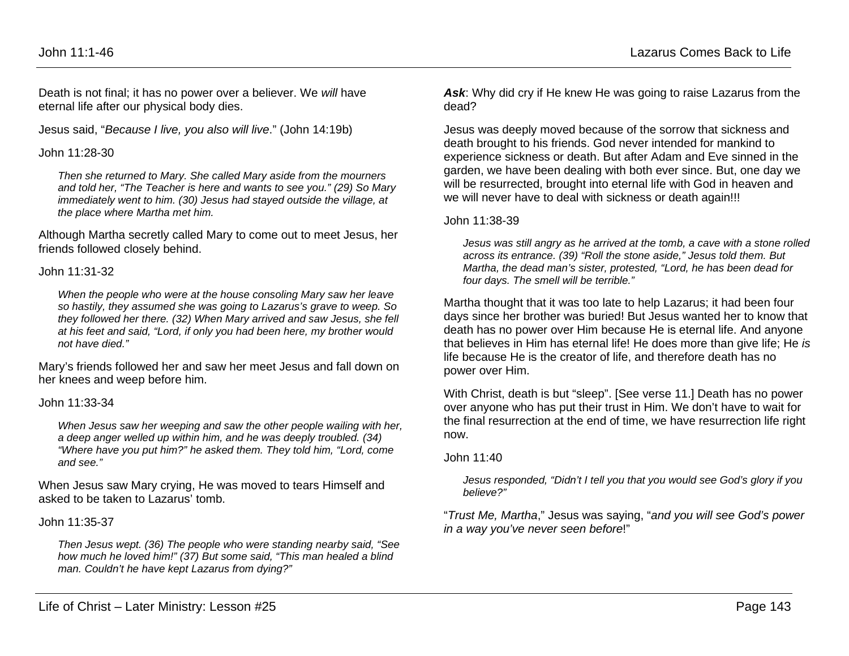Death is not final; it has no power over a believer. We *will* have eternal life after our physical body dies.

Jesus said, "*Because I live, you also will live*." (John 14:19b)

#### John 11:28-30

*Then she returned to Mary. She called Mary aside from the mourners and told her, "The Teacher is here and wants to see you." (29) So Mary immediately went to him. (30) Jesus had stayed outside the village, at the place where Martha met him.*

Although Martha secretly called Mary to come out to meet Jesus, her friends followed closely behind.

#### John 11:31-32

*When the people who were at the house consoling Mary saw her leave so hastily, they assumed she was going to Lazarus's grave to weep. So they followed her there. (32) When Mary arrived and saw Jesus, she fell at his feet and said, "Lord, if only you had been here, my brother would not have died."*

Mary's friends followed her and saw her meet Jesus and fall down on her knees and weep before him.

John 11:33-34

*When Jesus saw her weeping and saw the other people wailing with her, a deep anger welled up within him, and he was deeply troubled. (34) "Where have you put him?" he asked them. They told him, "Lord, come and see."*

When Jesus saw Mary crying, He was moved to tears Himself and asked to be taken to Lazarus' tomb.

John 11:35-37

*Then Jesus wept. (36) The people who were standing nearby said, "See how much he loved him!" (37) But some said, "This man healed a blind man. Couldn't he have kept Lazarus from dying?"*

*Ask*: Why did cry if He knew He was going to raise Lazarus from the dead?

Jesus was deeply moved because of the sorrow that sickness and death brought to his friends. God never intended for mankind to experience sickness or death. But after Adam and Eve sinned in the garden, we have been dealing with both ever since. But, one day we will be resurrected, brought into eternal life with God in heaven and we will never have to deal with sickness or death again!!!

### John 11:38-39

*Jesus was still angry as he arrived at the tomb, a cave with a stone rolled across its entrance. (39) "Roll the stone aside," Jesus told them. But Martha, the dead man's sister, protested, "Lord, he has been dead for four days. The smell will be terrible."*

Martha thought that it was too late to help Lazarus; it had been four days since her brother was buried! But Jesus wanted her to know that death has no power over Him because He is eternal life. And anyone that believes in Him has eternal life! He does more than give life; He *is* life because He is the creator of life, and therefore death has no power over Him.

With Christ, death is but "sleep". [See verse 11.] Death has no power over anyone who has put their trust in Him. We don't have to wait for the final resurrection at the end of time, we have resurrection life right now.

John 11:40

*Jesus responded, "Didn't I tell you that you would see God's glory if you believe?"*

"*Trust Me, Martha*," Jesus was saying, "*and you will see God's power in a way you've never seen before*!"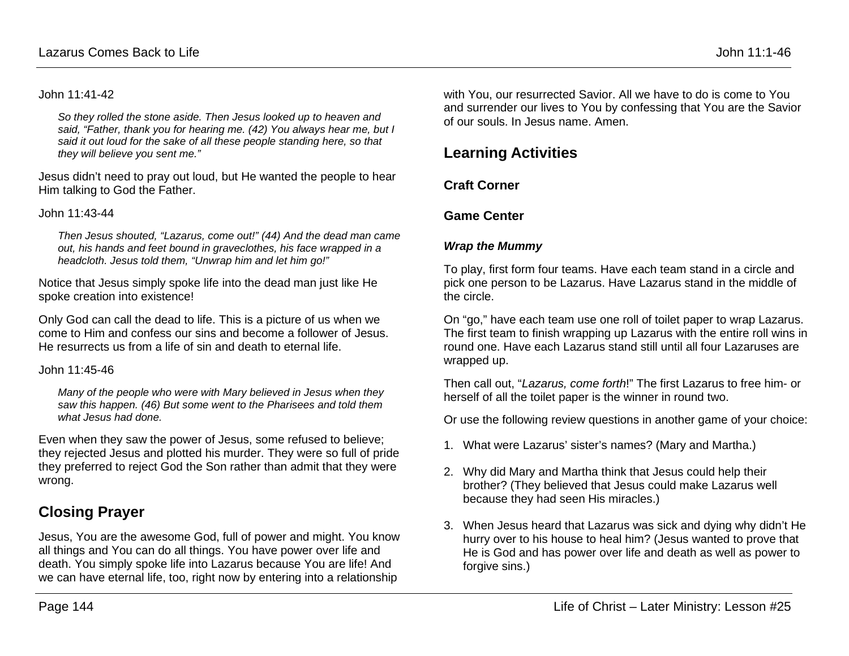#### John 11:41-42

*So they rolled the stone aside. Then Jesus looked up to heaven and said, "Father, thank you for hearing me. (42) You always hear me, but I said it out loud for the sake of all these people standing here, so that they will believe you sent me."*

Jesus didn't need to pray out loud, but He wanted the people to hear Him talking to God the Father.

John 11:43-44

*Then Jesus shouted, "Lazarus, come out!" (44) And the dead man came out, his hands and feet bound in graveclothes, his face wrapped in a headcloth. Jesus told them, "Unwrap him and let him go!"*

Notice that Jesus simply spoke life into the dead man just like He spoke creation into existence!

Only God can call the dead to life. This is a picture of us when we come to Him and confess our sins and become a follower of Jesus. He resurrects us from a life of sin and death to eternal life.

#### John 11:45-46

*Many of the people who were with Mary believed in Jesus when they saw this happen. (46) But some went to the Pharisees and told them what Jesus had done.*

Even when they saw the power of Jesus, some refused to believe; they rejected Jesus and plotted his murder. They were so full of pride they preferred to reject God the Son rather than admit that they were wrong.

# **Closing Prayer**

Jesus, You are the awesome God, full of power and might. You know all things and You can do all things. You have power over life and death. You simply spoke life into Lazarus because You are life! And we can have eternal life, too, right now by entering into a relationship

with You, our resurrected Savior. All we have to do is come to You and surrender our lives to You by confessing that You are the Savior of our souls. In Jesus name. Amen.

# **Learning Activities**

## **Craft Corner**

## **Game Center**

### *Wrap the Mummy*

To play, first form four teams. Have each team stand in a circle and pick one person to be Lazarus. Have Lazarus stand in the middle of the circle.

On "go," have each team use one roll of toilet paper to wrap Lazarus. The first team to finish wrapping up Lazarus with the entire roll wins in round one. Have each Lazarus stand still until all four Lazaruses are wrapped up.

Then call out, "*Lazarus, come forth*!" The first Lazarus to free him- or herself of all the toilet paper is the winner in round two.

Or use the following review questions in another game of your choice:

- 1. What were Lazarus' sister's names? (Mary and Martha.)
- 2. Why did Mary and Martha think that Jesus could help their brother? (They believed that Jesus could make Lazarus well because they had seen His miracles.)
- 3. When Jesus heard that Lazarus was sick and dying why didn't He hurry over to his house to heal him? (Jesus wanted to prove that He is God and has power over life and death as well as power to forgive sins.)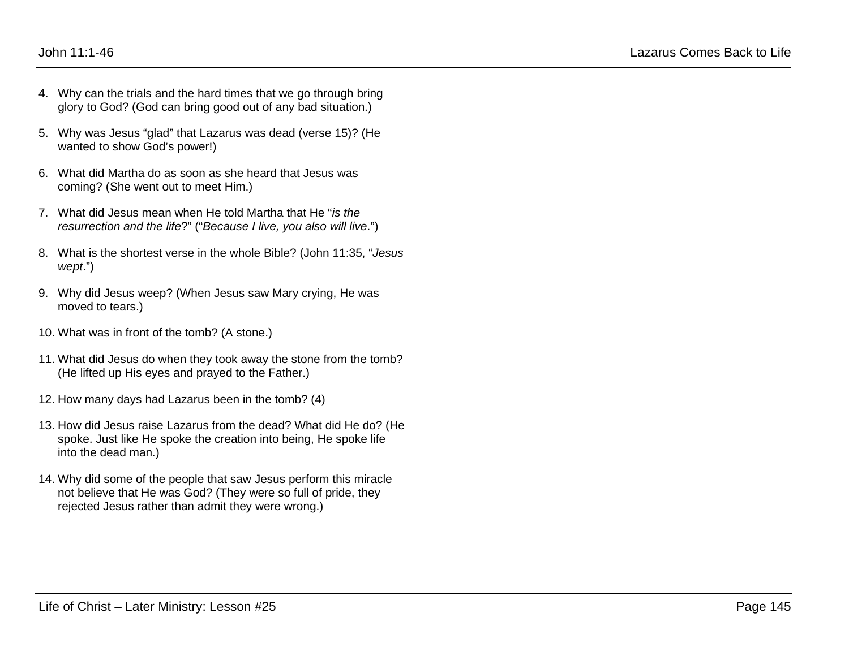- 4. Why can the trials and the hard times that we go through bring glory to God? (God can bring good out of any bad situation.)
- 5. Why was Jesus "glad" that Lazarus was dead (verse 15)? (He wanted to show God's power!)
- 6. What did Martha do as soon as she heard that Jesus was coming? (She went out to meet Him.)
- 7. What did Jesus mean when He told Martha that He "*is the resurrection and the life*?" ("*Because I live, you also will live*.")
- 8. What is the shortest verse in the whole Bible? (John 11:35, "*Jesus wept*.")
- 9. Why did Jesus weep? (When Jesus saw Mary crying, He was moved to tears.)
- 10. What was in front of the tomb? (A stone.)
- 11. What did Jesus do when they took away the stone from the tomb? (He lifted up His eyes and prayed to the Father.)
- 12. How many days had Lazarus been in the tomb? (4)
- 13. How did Jesus raise Lazarus from the dead? What did He do? (He spoke. Just like He spoke the creation into being, He spoke life into the dead man.)
- 14. Why did some of the people that saw Jesus perform this miracle not believe that He was God? (They were so full of pride, they rejected Jesus rather than admit they were wrong.)